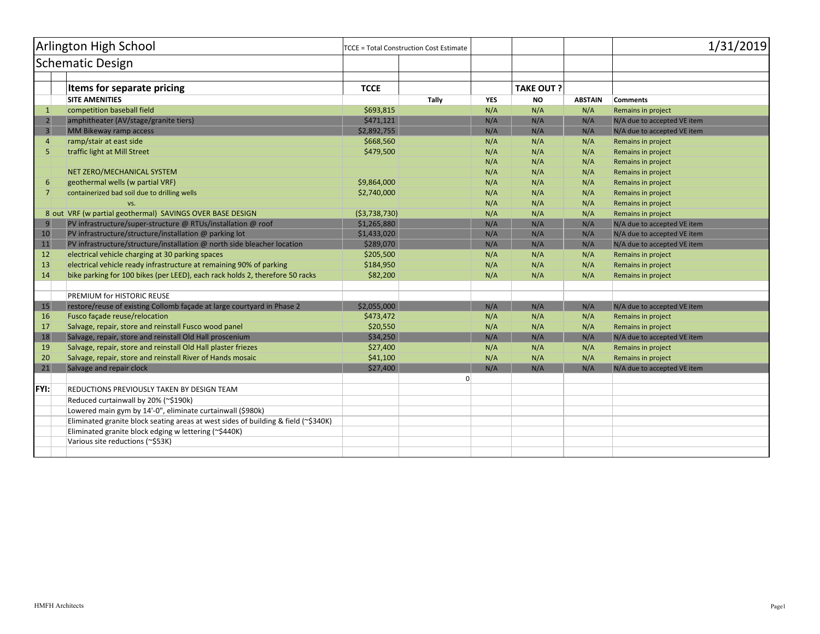| Arlington High School |                                                                                    | <b>TCCE = Total Construction Cost Estimate</b> |       | 1/31/2019 |                   |                |                             |  |
|-----------------------|------------------------------------------------------------------------------------|------------------------------------------------|-------|-----------|-------------------|----------------|-----------------------------|--|
| Schematic Design      |                                                                                    |                                                |       |           |                   |                |                             |  |
|                       |                                                                                    |                                                |       |           |                   |                |                             |  |
|                       | Items for separate pricing                                                         | <b>TCCE</b>                                    |       |           | <b>TAKE OUT ?</b> |                |                             |  |
|                       | <b>SITE AMENITIES</b>                                                              |                                                | Tally | YES       | <b>NO</b>         | <b>ABSTAIN</b> | <b>Comments</b>             |  |
| $\mathbf{1}$          | competition baseball field                                                         | \$693,815                                      |       | N/A       | N/A               | N/A            | Remains in project          |  |
| $\overline{2}$        | amphitheater (AV/stage/granite tiers)                                              | \$471,121                                      |       | N/A       | N/A               | N/A            | N/A due to accepted VE item |  |
| $\overline{3}$        | <b>MM Bikeway ramp access</b>                                                      | \$2,892,755                                    |       | N/A       | N/A               | N/A            | N/A due to accepted VE item |  |
| $\overline{4}$        | ramp/stair at east side                                                            | \$668,560                                      |       | N/A       | N/A               | N/A            | Remains in project          |  |
| 5                     | traffic light at Mill Street                                                       | \$479,500                                      |       | N/A       | N/A               | N/A            | Remains in project          |  |
|                       |                                                                                    |                                                |       | N/A       | N/A               | N/A            | Remains in project          |  |
|                       | NET ZERO/MECHANICAL SYSTEM                                                         |                                                |       | N/A       | N/A               | N/A            | Remains in project          |  |
| 6                     | geothermal wells (w partial VRF)                                                   | \$9,864,000                                    |       | N/A       | N/A               | N/A            | Remains in project          |  |
| 7                     | containerized bad soil due to drilling wells                                       | \$2,740,000                                    |       | N/A       | N/A               | N/A            | Remains in project          |  |
|                       | VS.                                                                                |                                                |       | N/A       | N/A               | N/A            | Remains in project          |  |
|                       | 8 out VRF (w partial geothermal) SAVINGS OVER BASE DESIGN                          | ( \$3,738,730)                                 |       | N/A       | N/A               | N/A            | Remains in project          |  |
| 9                     | PV infrastructure/super-structure @ RTUs/installation @ roof                       | \$1,265,880                                    |       | N/A       | N/A               | N/A            | N/A due to accepted VE item |  |
| 10                    | PV infrastructure/structure/installation @ parking lot                             | \$1,433,020                                    |       | N/A       | N/A               | N/A            | N/A due to accepted VE item |  |
| 11                    | PV infrastructure/structure/installation @ north side bleacher location            | \$289,070                                      |       | N/A       | N/A               | N/A            | N/A due to accepted VE item |  |
| 12                    | electrical vehicle charging at 30 parking spaces                                   | \$205,500                                      |       | N/A       | N/A               | N/A            | Remains in project          |  |
| 13                    | electrical vehicle ready infrastructure at remaining 90% of parking                | \$184,950                                      |       | N/A       | N/A               | N/A            | Remains in project          |  |
| 14                    | bike parking for 100 bikes (per LEED), each rack holds 2, therefore 50 racks       | \$82,200                                       |       | N/A       | N/A               | N/A            | Remains in project          |  |
|                       |                                                                                    |                                                |       |           |                   |                |                             |  |
|                       | PREMIUM for HISTORIC REUSE                                                         |                                                |       |           |                   |                |                             |  |
| 15                    | restore/reuse of existing Collomb façade at large courtyard in Phase 2             | \$2,055,000                                    |       | N/A       | N/A               | N/A            | N/A due to accepted VE item |  |
| 16                    | Fusco façade reuse/relocation                                                      | \$473,472                                      |       | N/A       | N/A               | N/A            | Remains in project          |  |
| 17                    | Salvage, repair, store and reinstall Fusco wood panel                              | \$20,550                                       |       | N/A       | N/A               | N/A            | Remains in project          |  |
| 18                    | Salvage, repair, store and reinstall Old Hall proscenium                           | \$34,250                                       |       | N/A       | N/A               | N/A            | N/A due to accepted VE item |  |
| 19                    | Salvage, repair, store and reinstall Old Hall plaster friezes                      | \$27,400                                       |       | N/A       | N/A               | N/A            | Remains in project          |  |
| 20                    | Salvage, repair, store and reinstall River of Hands mosaic                         | \$41,100                                       |       | N/A       | N/A               | N/A            | Remains in project          |  |
| 21                    | Salvage and repair clock                                                           | \$27,400                                       |       | N/A       | N/A               | N/A            | N/A due to accepted VE item |  |
|                       |                                                                                    |                                                | 0     |           |                   |                |                             |  |
| <b>FYI:</b>           | REDUCTIONS PREVIOUSLY TAKEN BY DESIGN TEAM                                         |                                                |       |           |                   |                |                             |  |
|                       | Reduced curtainwall by 20% (~\$190k)                                               |                                                |       |           |                   |                |                             |  |
|                       | Lowered main gym by 14'-0", eliminate curtainwall (\$980k)                         |                                                |       |           |                   |                |                             |  |
|                       | Eliminated granite block seating areas at west sides of building & field (~\$340K) |                                                |       |           |                   |                |                             |  |
|                       | Eliminated granite block edging w lettering (~\$440K)                              |                                                |       |           |                   |                |                             |  |
|                       | Various site reductions (~\$53K)                                                   |                                                |       |           |                   |                |                             |  |
|                       |                                                                                    |                                                |       |           |                   |                |                             |  |